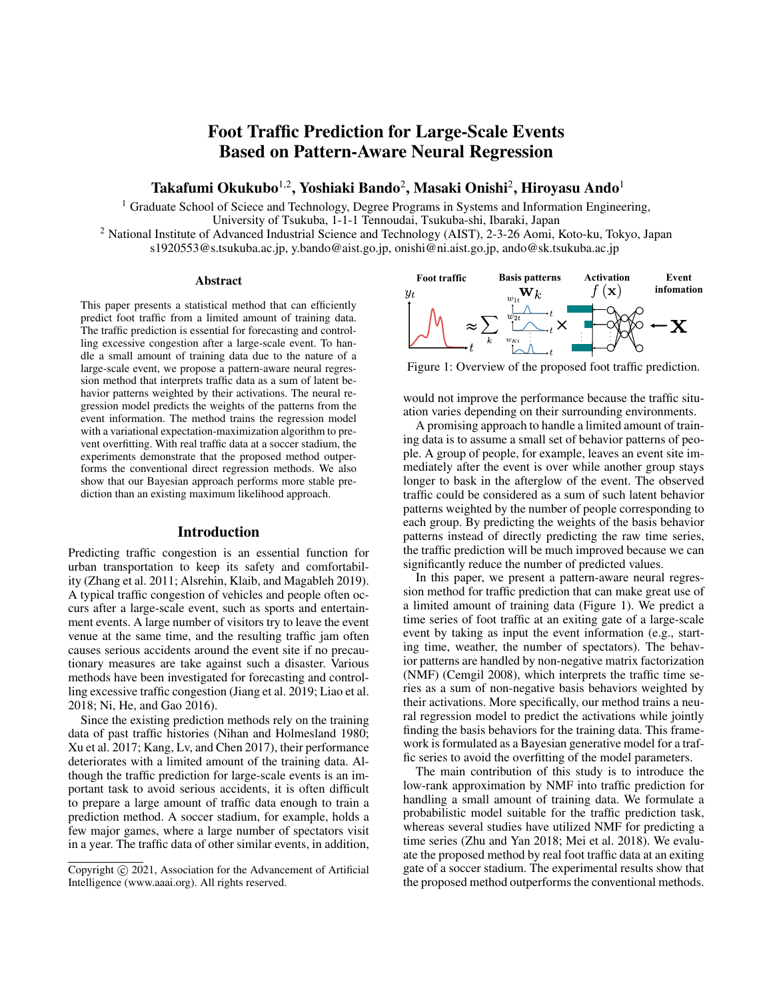# Foot Traffic Prediction for Large-Scale Events Based on Pattern-Aware Neural Regression

Takafumi Okukubo $^{1,2}$ , Yoshiaki Bando $^{2}$ , Masaki Onishi $^{2}$ , Hiroyasu Ando $^{1}$ 

<sup>1</sup> Graduate School of Sciece and Technology, Degree Programs in Systems and Information Engineering,

University of Tsukuba, 1-1-1 Tennoudai, Tsukuba-shi, Ibaraki, Japan

<sup>2</sup> National Institute of Advanced Industrial Science and Technology (AIST), 2-3-26 Aomi, Koto-ku, Tokyo, Japan s1920553@s.tsukuba.ac.jp, y.bando@aist.go.jp, onishi@ni.aist.go.jp, ando@sk.tsukuba.ac.jp

#### Abstract

This paper presents a statistical method that can efficiently predict foot traffic from a limited amount of training data. The traffic prediction is essential for forecasting and controlling excessive congestion after a large-scale event. To handle a small amount of training data due to the nature of a large-scale event, we propose a pattern-aware neural regression method that interprets traffic data as a sum of latent behavior patterns weighted by their activations. The neural regression model predicts the weights of the patterns from the event information. The method trains the regression model with a variational expectation-maximization algorithm to prevent overfitting. With real traffic data at a soccer stadium, the experiments demonstrate that the proposed method outperforms the conventional direct regression methods. We also show that our Bayesian approach performs more stable prediction than an existing maximum likelihood approach.

#### Introduction

Predicting traffic congestion is an essential function for urban transportation to keep its safety and comfortability (Zhang et al. 2011; Alsrehin, Klaib, and Magableh 2019). A typical traffic congestion of vehicles and people often occurs after a large-scale event, such as sports and entertainment events. A large number of visitors try to leave the event venue at the same time, and the resulting traffic jam often causes serious accidents around the event site if no precautionary measures are take against such a disaster. Various methods have been investigated for forecasting and controlling excessive traffic congestion (Jiang et al. 2019; Liao et al. 2018; Ni, He, and Gao 2016).

Since the existing prediction methods rely on the training data of past traffic histories (Nihan and Holmesland 1980; Xu et al. 2017; Kang, Lv, and Chen 2017), their performance deteriorates with a limited amount of the training data. Although the traffic prediction for large-scale events is an important task to avoid serious accidents, it is often difficult to prepare a large amount of traffic data enough to train a prediction method. A soccer stadium, for example, holds a few major games, where a large number of spectators visit in a year. The traffic data of other similar events, in addition,



Figure 1: Overview of the proposed foot traffic prediction.

would not improve the performance because the traffic situation varies depending on their surrounding environments.

A promising approach to handle a limited amount of training data is to assume a small set of behavior patterns of people. A group of people, for example, leaves an event site immediately after the event is over while another group stays longer to bask in the afterglow of the event. The observed traffic could be considered as a sum of such latent behavior patterns weighted by the number of people corresponding to each group. By predicting the weights of the basis behavior patterns instead of directly predicting the raw time series, the traffic prediction will be much improved because we can significantly reduce the number of predicted values.

In this paper, we present a pattern-aware neural regression method for traffic prediction that can make great use of a limited amount of training data (Figure 1). We predict a time series of foot traffic at an exiting gate of a large-scale event by taking as input the event information (e.g., starting time, weather, the number of spectators). The behavior patterns are handled by non-negative matrix factorization (NMF) (Cemgil 2008), which interprets the traffic time series as a sum of non-negative basis behaviors weighted by their activations. More specifically, our method trains a neural regression model to predict the activations while jointly finding the basis behaviors for the training data. This framework is formulated as a Bayesian generative model for a traffic series to avoid the overfitting of the model parameters.

The main contribution of this study is to introduce the low-rank approximation by NMF into traffic prediction for handling a small amount of training data. We formulate a probabilistic model suitable for the traffic prediction task, whereas several studies have utilized NMF for predicting a time series (Zhu and Yan 2018; Mei et al. 2018). We evaluate the proposed method by real foot traffic data at an exiting gate of a soccer stadium. The experimental results show that the proposed method outperforms the conventional methods.

Copyright (c) 2021, Association for the Advancement of Artificial Intelligence (www.aaai.org). All rights reserved.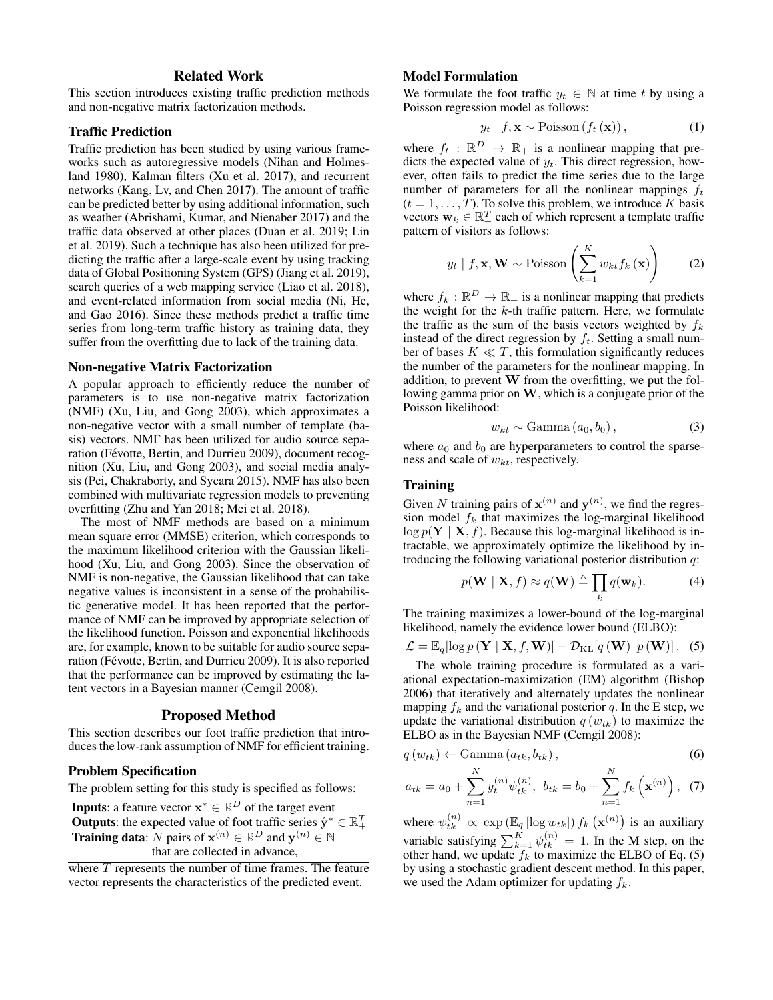# Related Work

This section introduces existing traffic prediction methods and non-negative matrix factorization methods.

### Traffic Prediction

Traffic prediction has been studied by using various frameworks such as autoregressive models (Nihan and Holmesland 1980), Kalman filters (Xu et al. 2017), and recurrent networks (Kang, Lv, and Chen 2017). The amount of traffic can be predicted better by using additional information, such as weather (Abrishami, Kumar, and Nienaber 2017) and the traffic data observed at other places (Duan et al. 2019; Lin et al. 2019). Such a technique has also been utilized for predicting the traffic after a large-scale event by using tracking data of Global Positioning System (GPS) (Jiang et al. 2019), search queries of a web mapping service (Liao et al. 2018), and event-related information from social media (Ni, He, and Gao 2016). Since these methods predict a traffic time series from long-term traffic history as training data, they suffer from the overfitting due to lack of the training data.

#### Non-negative Matrix Factorization

A popular approach to efficiently reduce the number of parameters is to use non-negative matrix factorization (NMF) (Xu, Liu, and Gong 2003), which approximates a non-negative vector with a small number of template (basis) vectors. NMF has been utilized for audio source separation (Févotte, Bertin, and Durrieu 2009), document recognition (Xu, Liu, and Gong 2003), and social media analysis (Pei, Chakraborty, and Sycara 2015). NMF has also been combined with multivariate regression models to preventing overfitting (Zhu and Yan 2018; Mei et al. 2018).

The most of NMF methods are based on a minimum mean square error (MMSE) criterion, which corresponds to the maximum likelihood criterion with the Gaussian likelihood (Xu, Liu, and Gong 2003). Since the observation of NMF is non-negative, the Gaussian likelihood that can take negative values is inconsistent in a sense of the probabilistic generative model. It has been reported that the performance of NMF can be improved by appropriate selection of the likelihood function. Poisson and exponential likelihoods are, for example, known to be suitable for audio source separation (Févotte, Bertin, and Durrieu 2009). It is also reported that the performance can be improved by estimating the latent vectors in a Bayesian manner (Cemgil 2008).

### Proposed Method

This section describes our foot traffic prediction that introduces the low-rank assumption of NMF for efficient training.

### Problem Specification

The problem setting for this study is specified as follows:

**Inputs**: a feature vector  $\mathbf{x}^* \in \mathbb{R}^D$  of the target event Outputs: the expected value of foot traffic series  $\hat{\mathbf{y}}^* \in \mathbb{R}_+^T$ <br>Training data: N pairs of  $\mathbf{x}^{(n)} \in \mathbb{R}^D$  and  $\mathbf{y}^{(n)} \in \mathbb{N}$ that are collected in advance,

where  $T$  represents the number of time frames. The feature vector represents the characteristics of the predicted event.

### Model Formulation

We formulate the foot traffic  $y_t \in \mathbb{N}$  at time t by using a Poisson regression model as follows:

$$
y_t | f, \mathbf{x} \sim \text{Poisson} \left( f_t \left( \mathbf{x} \right) \right), \tag{1}
$$

where  $f_t : \mathbb{R}^D \to \mathbb{R}_+$  is a nonlinear mapping that predicts the expected value of  $y_t$ . This direct regression, however, often fails to predict the time series due to the large number of parameters for all the nonlinear mappings  $f_t$  $(t = 1, \ldots, T)$ . To solve this problem, we introduce K basis vectors  $\mathbf{w}_k \in \mathbb{R}_+^T$  each of which represent a template traffic pattern of visitors as follows:

$$
y_t | f, \mathbf{x}, \mathbf{W} \sim \text{Poisson}\left(\sum_{k=1}^K w_{kt} f_k(\mathbf{x})\right)
$$
 (2)

where  $f_k : \mathbb{R}^D \to \mathbb{R}_+$  is a nonlinear mapping that predicts the weight for the  $k$ -th traffic pattern. Here, we formulate the traffic as the sum of the basis vectors weighted by  $f_k$ instead of the direct regression by  $f_t$ . Setting a small number of bases  $K \ll T$ , this formulation significantly reduces the number of the parameters for the nonlinear mapping. In addition, to prevent W from the overfitting, we put the following gamma prior on W, which is a conjugate prior of the Poisson likelihood:

$$
w_{kt} \sim \text{Gamma}\left(a_0, b_0\right),\tag{3}
$$

where  $a_0$  and  $b_0$  are hyperparameters to control the sparseness and scale of  $w_{kt}$ , respectively.

#### **Training**

Given N training pairs of  $x^{(n)}$  and  $y^{(n)}$ , we find the regression model  $f_k$  that maximizes the log-marginal likelihood  $\log p(Y | X, f)$ . Because this log-marginal likelihood is intractable, we approximately optimize the likelihood by introducing the following variational posterior distribution q:

$$
p(\mathbf{W} \mid \mathbf{X}, f) \approx q(\mathbf{W}) \triangleq \prod_{k} q(\mathbf{w}_k).
$$
 (4)

The training maximizes a lower-bound of the log-marginal likelihood, namely the evidence lower bound (ELBO):

$$
\mathcal{L} = \mathbb{E}_{q}[\log p(\mathbf{Y} \mid \mathbf{X}, f, \mathbf{W})] - \mathcal{D}_{\mathrm{KL}}[q(\mathbf{W}) | p(\mathbf{W})]. \quad (5)
$$

The whole training procedure is formulated as a variational expectation-maximization (EM) algorithm (Bishop 2006) that iteratively and alternately updates the nonlinear mapping  $f_k$  and the variational posterior q. In the E step, we update the variational distribution  $q(w_{tk})$  to maximize the ELBO as in the Bayesian NMF (Cemgil 2008):

$$
q(w_{tk}) \leftarrow \text{Gamma}(a_{tk}, b_{tk}), \qquad (6)
$$

 $\lambda$ r

$$
a_{tk} = a_0 + \sum_{n=1}^{N} y_t^{(n)} \psi_{tk}^{(n)}, \ b_{tk} = b_0 + \sum_{n=1}^{N} f_k \left( \mathbf{x}^{(n)} \right), \tag{7}
$$

where  $\psi_{tk}^{(n)} \propto \exp(\mathbb{E}_q [\log w_{tk}]) f_k(\mathbf{x}^{(n)})$  is an auxiliary variable satisfying  $\sum_{k=1}^{K} \psi_{tk}^{(n)} = 1$ . In the M step, on the other hand, we update  $f_k$  to maximize the ELBO of Eq. (5) by using a stochastic gradient descent method. In this paper, we used the Adam optimizer for updating  $f_k$ .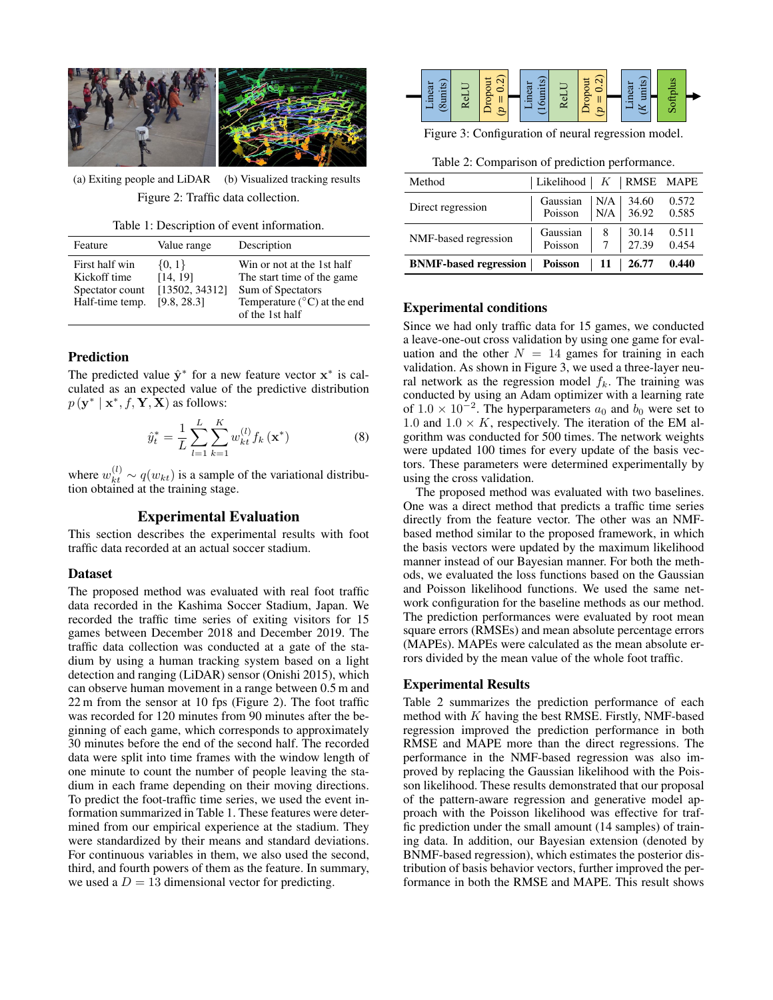

(a) Exiting people and LiDAR (b) Visualized tracking results Figure 2: Traffic data collection.

Table 1: Description of event information.

| Feature                                                              | Value range                                             | Description                                                                                                                               |
|----------------------------------------------------------------------|---------------------------------------------------------|-------------------------------------------------------------------------------------------------------------------------------------------|
| First half win<br>Kickoff time<br>Spectator count<br>Half-time temp. | $\{0, 1\}$<br>[14, 19]<br>[13502, 34312]<br>[9.8, 28.3] | Win or not at the 1st half<br>The start time of the game.<br>Sum of Spectators<br>Temperature $(^{\circ}C)$ at the end<br>of the 1st half |

# Prediction

The predicted value  $\hat{y}^*$  for a new feature vector  $x^*$  is calculated as an expected value of the predictive distribution  $p(\mathbf{y}^* | \mathbf{x}^*, f, \mathbf{Y}, \mathbf{\tilde{X}})$  as follows:

$$
\hat{y}_{t}^{*} = \frac{1}{L} \sum_{l=1}^{L} \sum_{k=1}^{K} w_{kt}^{(l)} f_{k}(\mathbf{x}^{*})
$$
(8)

where  $w_{kt}^{(l)} \sim q(w_{kt})$  is a sample of the variational distribution obtained at the training stage.

# Experimental Evaluation

This section describes the experimental results with foot traffic data recorded at an actual soccer stadium.

### Dataset

The proposed method was evaluated with real foot traffic data recorded in the Kashima Soccer Stadium, Japan. We recorded the traffic time series of exiting visitors for 15 games between December 2018 and December 2019. The traffic data collection was conducted at a gate of the stadium by using a human tracking system based on a light detection and ranging (LiDAR) sensor (Onishi 2015), which can observe human movement in a range between 0.5 m and 22 m from the sensor at 10 fps (Figure 2). The foot traffic was recorded for 120 minutes from 90 minutes after the beginning of each game, which corresponds to approximately 30 minutes before the end of the second half. The recorded data were split into time frames with the window length of one minute to count the number of people leaving the stadium in each frame depending on their moving directions. To predict the foot-traffic time series, we used the event information summarized in Table 1. These features were determined from our empirical experience at the stadium. They were standardized by their means and standard deviations. For continuous variables in them, we also used the second, third, and fourth powers of them as the feature. In summary, we used a  $D = 13$  dimensional vector for predicting.



Figure 3: Configuration of neural regression model.

Table 2: Comparison of prediction performance.

| Method                                 | Likelihood $\mid K \mid$ RMSE MAPE                          |            |                |
|----------------------------------------|-------------------------------------------------------------|------------|----------------|
| Direct regression                      | Gaussian   N/A   34.60 0.572<br>Poisson   N/A   36.92 0.585 |            |                |
| NMF-based regression                   | Gaussian   8   30.14<br>Poisson   $7$   27.39               |            | 0.511<br>0.454 |
| <b>BNMF-based regression</b>   Poisson |                                                             | 11   26.77 | 0.440          |

# Experimental conditions

Since we had only traffic data for 15 games, we conducted a leave-one-out cross validation by using one game for evaluation and the other  $N = 14$  games for training in each validation. As shown in Figure 3, we used a three-layer neural network as the regression model  $f_k$ . The training was conducted by using an Adam optimizer with a learning rate of  $1.0 \times 10^{-2}$ . The hyperparameters  $a_0$  and  $b_0$  were set to 1.0 and  $1.0 \times K$ , respectively. The iteration of the EM algorithm was conducted for 500 times. The network weights were updated 100 times for every update of the basis vectors. These parameters were determined experimentally by using the cross validation.

The proposed method was evaluated with two baselines. One was a direct method that predicts a traffic time series directly from the feature vector. The other was an NMFbased method similar to the proposed framework, in which the basis vectors were updated by the maximum likelihood manner instead of our Bayesian manner. For both the methods, we evaluated the loss functions based on the Gaussian and Poisson likelihood functions. We used the same network configuration for the baseline methods as our method. The prediction performances were evaluated by root mean square errors (RMSEs) and mean absolute percentage errors (MAPEs). MAPEs were calculated as the mean absolute errors divided by the mean value of the whole foot traffic.

### Experimental Results

Table 2 summarizes the prediction performance of each method with  $K$  having the best RMSE. Firstly, NMF-based regression improved the prediction performance in both RMSE and MAPE more than the direct regressions. The performance in the NMF-based regression was also improved by replacing the Gaussian likelihood with the Poisson likelihood. These results demonstrated that our proposal of the pattern-aware regression and generative model approach with the Poisson likelihood was effective for traffic prediction under the small amount (14 samples) of training data. In addition, our Bayesian extension (denoted by BNMF-based regression), which estimates the posterior distribution of basis behavior vectors, further improved the performance in both the RMSE and MAPE. This result shows